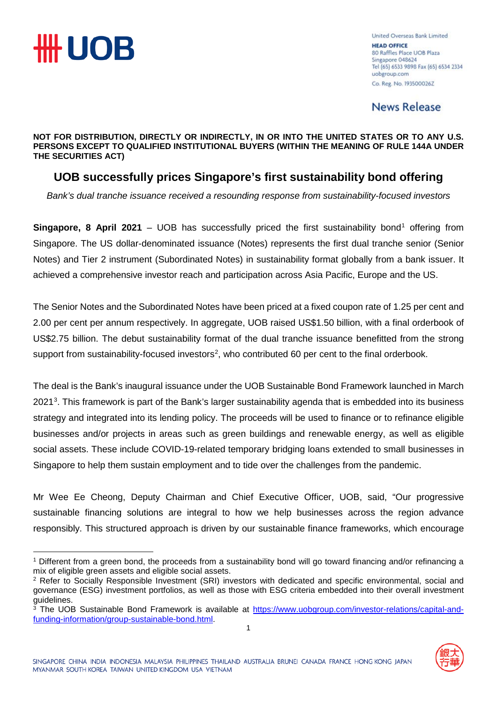

United Overseas Bank Limited **HEAD OFFICE** 80 Raffles Place UOB Plaza Singapore 048624 Tel (65) 6533 9898 Fax (65) 6534 2334 uobgroup.com Co. Reg. No. 193500026Z

**News Release** 

**NOT FOR DISTRIBUTION, DIRECTLY OR INDIRECTLY, IN OR INTO THE UNITED STATES OR TO ANY U.S. PERSONS EXCEPT TO QUALIFIED INSTITUTIONAL BUYERS (WITHIN THE MEANING OF RULE 144A UNDER THE SECURITIES ACT)**

### **UOB successfully prices Singapore's first sustainability bond offering**

*Bank's dual tranche issuance received a resounding response from sustainability-focused investors*

**Singapore, 8 April 202[1](#page-0-0)** – UOB has successfully priced the first sustainability bond<sup>1</sup> offering from Singapore. The US dollar-denominated issuance (Notes) represents the first dual tranche senior (Senior Notes) and Tier 2 instrument (Subordinated Notes) in sustainability format globally from a bank issuer. It achieved a comprehensive investor reach and participation across Asia Pacific, Europe and the US.

The Senior Notes and the Subordinated Notes have been priced at a fixed coupon rate of 1.25 per cent and 2.00 per cent per annum respectively. In aggregate, UOB raised US\$1.50 billion, with a final orderbook of US\$2.75 billion. The debut sustainability format of the dual tranche issuance benefitted from the strong support from sustainability-focused investors<sup>[2](#page-0-1)</sup>, who contributed 60 per cent to the final orderbook.

The deal is the Bank's inaugural issuance under the UOB Sustainable Bond Framework launched in March 2021<sup>[3](#page-0-2)</sup>. This framework is part of the Bank's larger sustainability agenda that is embedded into its business strategy and integrated into its lending policy. The proceeds will be used to finance or to refinance eligible businesses and/or projects in areas such as green buildings and renewable energy, as well as eligible social assets. These include COVID-19-related temporary bridging loans extended to small businesses in Singapore to help them sustain employment and to tide over the challenges from the pandemic.

Mr Wee Ee Cheong, Deputy Chairman and Chief Executive Officer, UOB, said, "Our progressive sustainable financing solutions are integral to how we help businesses across the region advance responsibly. This structured approach is driven by our sustainable finance frameworks, which encourage

<span id="page-0-2"></span><sup>1</sup> <sup>3</sup> The UOB Sustainable Bond Framework is available at [https://www.uobgroup.com/investor-relations/capital-and](https://www.uobgroup.com/investor-relations/capital-and-funding-information/group-sustainable-bond.html)[funding-information/group-sustainable-bond.html.](https://www.uobgroup.com/investor-relations/capital-and-funding-information/group-sustainable-bond.html)



<span id="page-0-0"></span><sup>1</sup> Different from a green bond, the proceeds from a sustainability bond will go toward financing and/or refinancing a mix of eligible green assets and eligible social assets.

<span id="page-0-1"></span><sup>&</sup>lt;sup>2</sup> Refer to Socially Responsible Investment (SRI) investors with dedicated and specific environmental, social and governance (ESG) investment portfolios, as well as those with ESG criteria embedded into their overall investment guidelines.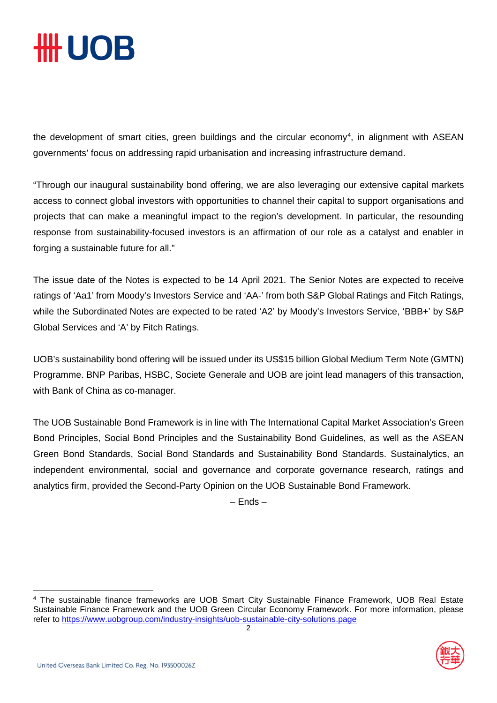## **\HH UOB**

the development of smart cities, green buildings and the circular economy<sup>[4](#page-1-0)</sup>, in alignment with ASEAN governments' focus on addressing rapid urbanisation and increasing infrastructure demand.

"Through our inaugural sustainability bond offering, we are also leveraging our extensive capital markets access to connect global investors with opportunities to channel their capital to support organisations and projects that can make a meaningful impact to the region's development. In particular, the resounding response from sustainability-focused investors is an affirmation of our role as a catalyst and enabler in forging a sustainable future for all."

The issue date of the Notes is expected to be 14 April 2021. The Senior Notes are expected to receive ratings of 'Aa1' from Moody's Investors Service and 'AA-' from both S&P Global Ratings and Fitch Ratings, while the Subordinated Notes are expected to be rated 'A2' by Moody's Investors Service, 'BBB+' by S&P Global Services and 'A' by Fitch Ratings.

UOB's sustainability bond offering will be issued under its US\$15 billion Global Medium Term Note (GMTN) Programme. BNP Paribas, HSBC, Societe Generale and UOB are joint lead managers of this transaction, with Bank of China as co-manager.

The UOB Sustainable Bond Framework is in line with The International Capital Market Association's Green Bond Principles, Social Bond Principles and the Sustainability Bond Guidelines, as well as the ASEAN Green Bond Standards, Social Bond Standards and Sustainability Bond Standards. Sustainalytics, an independent environmental, social and governance and corporate governance research, ratings and analytics firm, provided the Second-Party Opinion on the UOB Sustainable Bond Framework.

– Ends –

<span id="page-1-0"></span><sup>2</sup> <sup>4</sup> The sustainable finance frameworks are UOB Smart City Sustainable Finance Framework, UOB Real Estate Sustainable Finance Framework and the UOB Green Circular Economy Framework. For more information, please refer to<https://www.uobgroup.com/industry-insights/uob-sustainable-city-solutions.page>

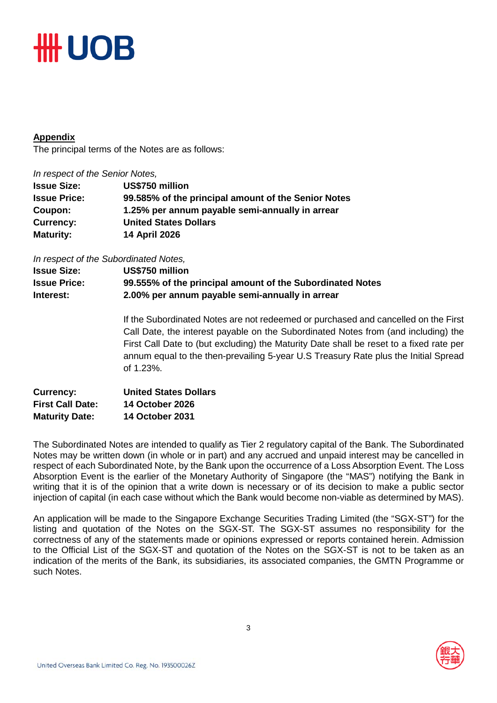## **#H UOB**

### **Appendix**

The principal terms of the Notes are as follows:

*In respect of the Senior Notes,*

| US\$750 million                                     |
|-----------------------------------------------------|
| 99.585% of the principal amount of the Senior Notes |
| 1.25% per annum payable semi-annually in arrear     |
| <b>United States Dollars</b>                        |
| <b>14 April 2026</b>                                |
|                                                     |

*In respect of the Subordinated Notes,*

| <b>Issue Size:</b>  | US\$750 million                                           |
|---------------------|-----------------------------------------------------------|
| <b>Issue Price:</b> | 99.555% of the principal amount of the Subordinated Notes |
| Interest:           | 2.00% per annum payable semi-annually in arrear           |

If the Subordinated Notes are not redeemed or purchased and cancelled on the First Call Date, the interest payable on the Subordinated Notes from (and including) the First Call Date to (but excluding) the Maturity Date shall be reset to a fixed rate per annum equal to the then-prevailing 5-year U.S Treasury Rate plus the Initial Spread of 1.23%.

| <b>Currency:</b>        | <b>United States Dollars</b> |
|-------------------------|------------------------------|
| <b>First Call Date:</b> | <b>14 October 2026</b>       |
| <b>Maturity Date:</b>   | <b>14 October 2031</b>       |

The Subordinated Notes are intended to qualify as Tier 2 regulatory capital of the Bank. The Subordinated Notes may be written down (in whole or in part) and any accrued and unpaid interest may be cancelled in respect of each Subordinated Note, by the Bank upon the occurrence of a Loss Absorption Event. The Loss Absorption Event is the earlier of the Monetary Authority of Singapore (the "MAS") notifying the Bank in writing that it is of the opinion that a write down is necessary or of its decision to make a public sector injection of capital (in each case without which the Bank would become non-viable as determined by MAS).

An application will be made to the Singapore Exchange Securities Trading Limited (the "SGX-ST") for the listing and quotation of the Notes on the SGX-ST. The SGX-ST assumes no responsibility for the correctness of any of the statements made or opinions expressed or reports contained herein. Admission to the Official List of the SGX-ST and quotation of the Notes on the SGX-ST is not to be taken as an indication of the merits of the Bank, its subsidiaries, its associated companies, the GMTN Programme or such Notes.